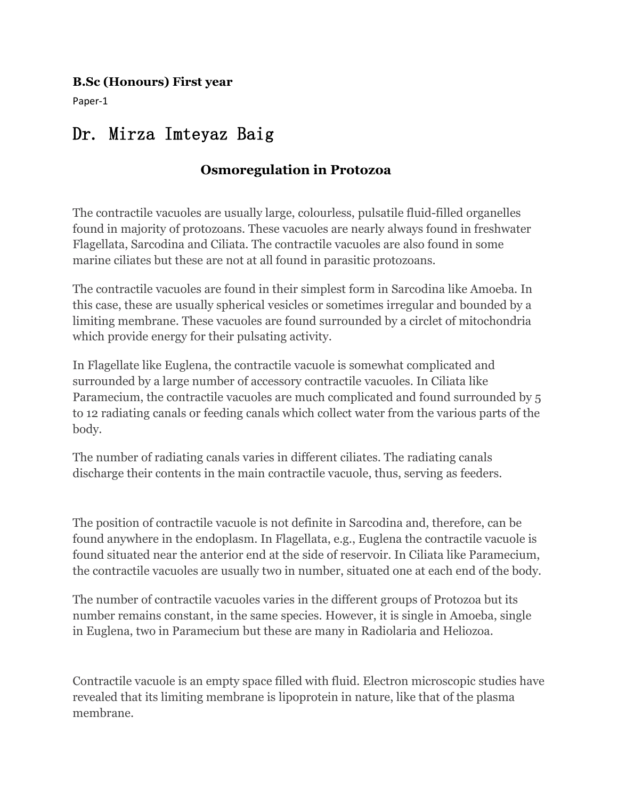#### **B.Sc (Honours) First year**

Paper-1

# Dr. Mirza Imteyaz Baig

# **Osmoregulation in Protozoa**

The contractile vacuoles are usually large, colourless, pulsatile fluid-filled organelles found in majority of protozoans. These vacuoles are nearly always found in freshwater Flagellata, Sarcodina and Ciliata. The contractile vacuoles are also found in some marine ciliates but these are not at all found in parasitic protozoans.

The contractile vacuoles are found in their simplest form in Sarcodina like Amoeba. In this case, these are usually spherical vesicles or sometimes irregular and bounded by a limiting membrane. These vacuoles are found surrounded by a circlet of mitochondria which provide energy for their pulsating activity.

In Flagellate like Euglena, the contractile vacuole is somewhat complicated and surrounded by a large number of accessory contractile vacuoles. In Ciliata like Paramecium, the contractile vacuoles are much complicated and found surrounded by 5 to 12 radiating canals or feeding canals which collect water from the various parts of the body.

The number of radiating canals varies in different ciliates. The radiating canals discharge their contents in the main contractile vacuole, thus, serving as feeders.

The position of contractile vacuole is not definite in Sarcodina and, therefore, can be found anywhere in the endoplasm. In Flagellata, e.g., Euglena the contractile vacuole is found situated near the anterior end at the side of reservoir. In Ciliata like Paramecium, the contractile vacuoles are usually two in number, situated one at each end of the body.

The number of contractile vacuoles varies in the different groups of Protozoa but its number remains constant, in the same species. However, it is single in Amoeba, single in Euglena, two in Paramecium but these are many in Radiolaria and Heliozoa.

Contractile vacuole is an empty space filled with fluid. Electron microscopic studies have revealed that its limiting membrane islipoprotein in nature, like that of the plasma membrane.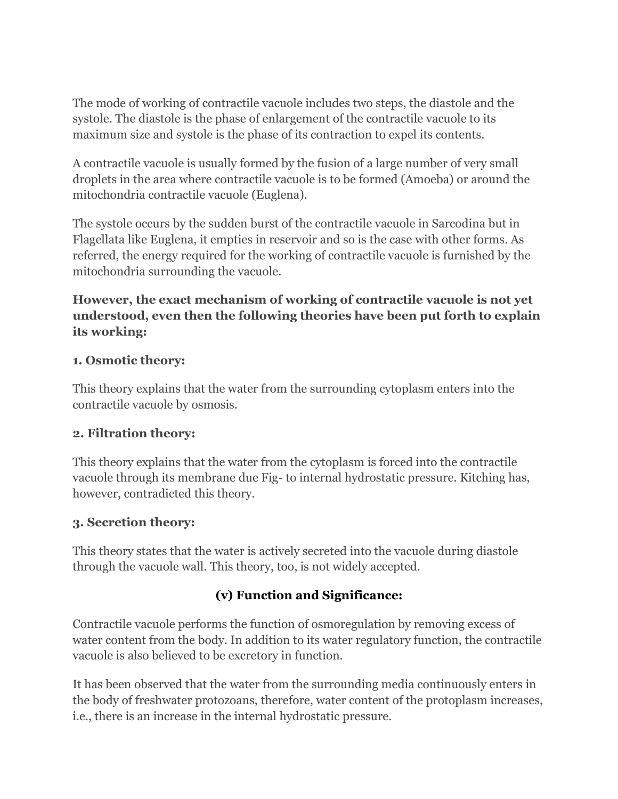The mode of working of contractile vacuole includes two steps, the diastole and the systole. The diastole is the phase of enlargement of the contractile vacuole to its maximum size and systole is the phase of its contraction to expel its contents.

A contractile vacuole is usually formed by the fusion of a large number of very small droplets in the area where contractile vacuole isto be formed (Amoeba) or around the mitochondria contractile vacuole (Euglena).

The systole occurs by the sudden burst of the contractile vacuole in Sarcodina but in Flagellata like Euglena, it empties in reservoir and so is the case with other forms. As referred, the energy required for the working of contractile vacuole is furnished by the mitochondria surrounding the vacuole.

## **However, the exact mechanism of working of contractile vacuole isnot yet understood, even then the following theories have been put forth to explain its working:**

### **1. Osmotic theory:**

This theory explains that the water from the surrounding cytoplasm enters into the contractile vacuole by osmosis.

#### **2. Filtration theory:**

This theory explains that the water from the cytoplasm is forced into the contractile vacuole through its membrane due Fig-to internal hydrostatic pressure. Kitching has, however, contradicted this theory.

### **3. Secretion theory:**

This theory states that the water is actively secreted into the vacuole during diastole through the vacuole wall. This theory, too, is not widely accepted.

# **(v) Function and Significance:**

Contractile vacuole performs the function of osmoregulation by removing excess of water content from the body. In addition to its water regulatory function, the contractile vacuole is also believed to be excretory in function.

It has been observed that the water from the surrounding media continuously enters in the body of freshwater protozoans, therefore, water content of the protoplasm increases, i.e., there is an increase in the internal hydrostatic pressure.